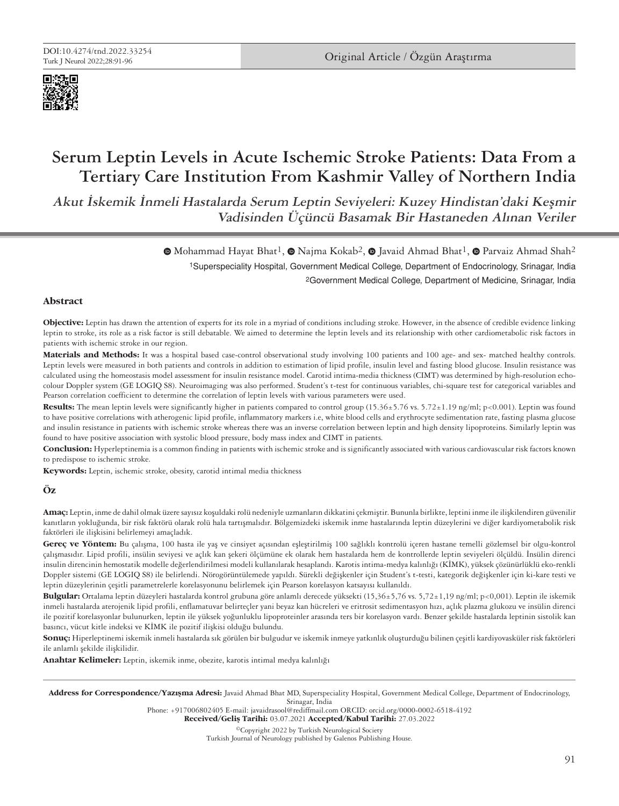

# **Serum Leptin Levels in Acute Ischemic Stroke Patients: Data From a Tertiary Care Institution From Kashmir Valley of Northern India**

**Akut İskemik İnmeli Hastalarda Serum Leptin Seviyeleri: Kuzey Hindistan'daki Keşmir Vadisinden Üçüncü Basamak Bir Hastaneden Alınan Veriler**

> 1Superspeciality Hospital, Government Medical College, Department of Endocrinology, Srinagar, India 2Government Medical College, Department of Medicine, Srinagar, India  $\bullet$ Mohammad Hayat Bhat<sup>1</sup>,  $\bullet$  Najma Kokab<sup>2</sup>,  $\bullet$  Javaid Ahmad Bhat<sup>1</sup>,  $\bullet$  Parvaiz Ahmad Shah<sup>2</sup>

## **Abstract**

**Objective:** Leptin has drawn the attention of experts for its role in a myriad of conditions including stroke. However, in the absence of credible evidence linking leptin to stroke, its role as a risk factor is still debatable. We aimed to determine the leptin levels and its relationship with other cardiometabolic risk factors in patients with ischemic stroke in our region.

**Materials and Methods:** It was a hospital based case-control observational study involving 100 patients and 100 age- and sex- matched healthy controls. Leptin levels were measured in both patients and controls in addition to estimation of lipid profile, insulin level and fasting blood glucose. Insulin resistance was calculated using the homeostasis model assessment for insulin resistance model. Carotid intima-media thickness (CIMT) was determined by high-resolution echocolour Doppler system (GE LOGIQ S8). Neuroimaging was also performed. Student's t-test for continuous variables, chi-square test for categorical variables and Pearson correlation coefficient to determine the correlation of leptin levels with various parameters were used.

Results: The mean leptin levels were significantly higher in patients compared to control group (15.36±5.76 vs. 5.72±1.19 ng/ml; p<0.001). Leptin was found to have positive correlations with atherogenic lipid profile, inflammatory markers i.e, white blood cells and erythrocyte sedimentation rate, fasting plasma glucose and insulin resistance in patients with ischemic stroke whereas there was an inverse correlation between leptin and high density lipoproteins. Similarly leptin was found to have positive association with systolic blood pressure, body mass index and CIMT in patients.

**Conclusion:** Hyperleptinemia is a common finding in patients with ischemic stroke and is significantly associated with various cardiovascular risk factors known to predispose to ischemic stroke.

**Keywords:** Leptin, ischemic stroke, obesity, carotid intimal media thickness

## **Öz**

**Amaç:** Leptin, inme de dahil olmak üzere sayısız koşuldaki rolü nedeniyle uzmanların dikkatini çekmiştir. Bununla birlikte, leptini inme ile ilişkilendiren güvenilir kanıtların yokluğunda, bir risk faktörü olarak rolü hala tartışmalıdır. Bölgemizdeki iskemik inme hastalarında leptin düzeylerini ve diğer kardiyometabolik risk faktörleri ile ilişkisini belirlemeyi amaçladık.

**Gereç ve Yöntem:** Bu çalışma, 100 hasta ile yaş ve cinsiyet açısından eşleştirilmiş 100 sağlıklı kontrolü içeren hastane temelli gözlemsel bir olgu-kontrol çalışmasıdır. Lipid profili, insülin seviyesi ve açlık kan şekeri ölçümüne ek olarak hem hastalarda hem de kontrollerde leptin seviyeleri ölçüldü. İnsülin direnci insulin direncinin hemostatik modelle değerlendirilmesi modeli kullanılarak hesaplandı. Karotis intima-medya kalınlığı (KİMK), yüksek çözünürlüklü eko-renkli Doppler sistemi (GE LOGIQ S8) ile belirlendi. Nörogörüntülemede yapıldı. Sürekli değişkenler için Student's t-testi, kategorik değişkenler için ki-kare testi ve leptin düzeylerinin çeşitli parametrelerle korelasyonunu belirlemek için Pearson korelasyon katsayısı kullanıldı.

**Bulgular:** Ortalama leptin düzeyleri hastalarda kontrol grubuna göre anlamlı derecede yüksekti (15,36±5,76 vs. 5,72±1,19 ng/ml; p<0,001). Leptin ile iskemik inmeli hastalarda aterojenik lipid profili, enflamatuvar belirteçler yani beyaz kan hücreleri ve eritrosit sedimentasyon hızı, açlık plazma glukozu ve insülin direnci ile pozitif korelasyonlar bulunurken, leptin ile yüksek yoğunluklu lipoproteinler arasında ters bir korelasyon vardı. Benzer şekilde hastalarda leptinin sistolik kan basıncı, vücut kitle indeksi ve KİMK ile pozitif ilişkisi olduğu bulundu.

**Sonuç:** Hiperleptinemi iskemik inmeli hastalarda sık görülen bir bulgudur ve iskemik inmeye yatkınlık oluşturduğu bilinen çeşitli kardiyovasküler risk faktörleri ile anlamlı şekilde ilişkilidir.

**Anahtar Kelimeler:** Leptin, iskemik inme, obezite, karotis intimal medya kalınlığı

Address for Correspondence/Yazışma Adresi: Javaid Ahmad Bhat MD, Superspeciality Hospital, Government Medical College, Department of Endocrinology, Srinagar, India

Phone: +917006802405 E-mail: javaidrasool@rediffmail.com ORCID: orcid.org/0000-0002-6518-4192

Received/Geliş Tarihi: 03.07.2021 Accepted/Kabul Tarihi: 27.03.2022

©Copyright 2022 by Turkish Neurological Society Turkish Journal of Neurology published by Galenos Publishing House.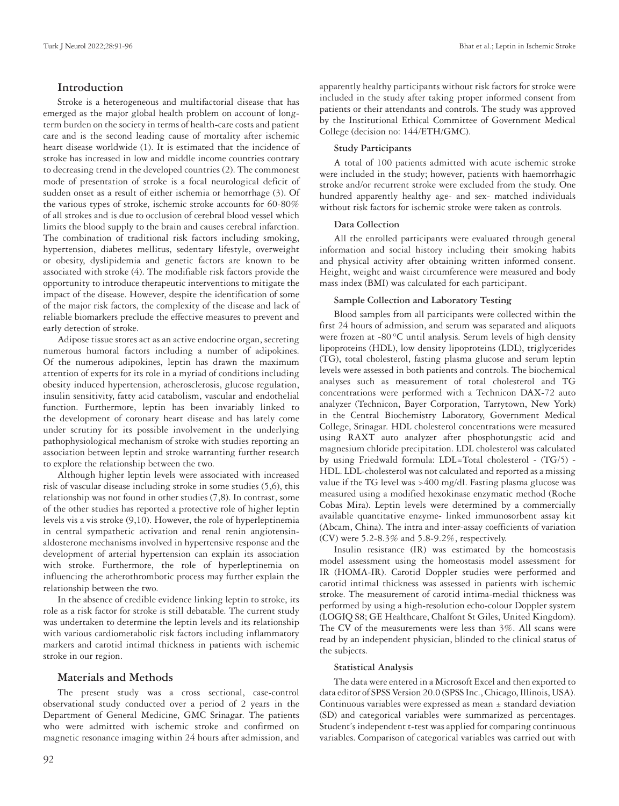## **Introduction**

Stroke is a heterogeneous and multifactorial disease that has emerged as the major global health problem on account of longterm burden on the society in terms of health-care costs and patient care and is the second leading cause of mortality after ischemic heart disease worldwide (1). It is estimated that the incidence of stroke has increased in low and middle income countries contrary to decreasing trend in the developed countries (2). The commonest mode of presentation of stroke is a focal neurological deficit of sudden onset as a result of either ischemia or hemorrhage (3). Of the various types of stroke, ischemic stroke accounts for 60-80% of all strokes and is due to occlusion of cerebral blood vessel which limits the blood supply to the brain and causes cerebral infarction. The combination of traditional risk factors including smoking, hypertension, diabetes mellitus, sedentary lifestyle, overweight or obesity, dyslipidemia and genetic factors are known to be associated with stroke (4). The modifiable risk factors provide the opportunity to introduce therapeutic interventions to mitigate the impact of the disease. However, despite the identification of some of the major risk factors, the complexity of the disease and lack of reliable biomarkers preclude the effective measures to prevent and early detection of stroke.

Adipose tissue stores act as an active endocrine organ, secreting numerous humoral factors including a number of adipokines. Of the numerous adipokines, leptin has drawn the maximum attention of experts for its role in a myriad of conditions including obesity induced hypertension, atherosclerosis, glucose regulation, insulin sensitivity, fatty acid catabolism, vascular and endothelial function. Furthermore, leptin has been invariably linked to the development of coronary heart disease and has lately come under scrutiny for its possible involvement in the underlying pathophysiological mechanism of stroke with studies reporting an association between leptin and stroke warranting further research to explore the relationship between the two.

Although higher leptin levels were associated with increased risk of vascular disease including stroke in some studies (5,6), this relationship was not found in other studies (7,8). In contrast, some of the other studies has reported a protective role of higher leptin levels vis a vis stroke (9,10). However, the role of hyperleptinemia in central sympathetic activation and renal renin angiotensinaldosterone mechanisms involved in hypertensive response and the development of arterial hypertension can explain its association with stroke. Furthermore, the role of hyperleptinemia on influencing the atherothrombotic process may further explain the relationship between the two.

In the absence of credible evidence linking leptin to stroke, its role as a risk factor for stroke is still debatable. The current study was undertaken to determine the leptin levels and its relationship with various cardiometabolic risk factors including inflammatory markers and carotid intimal thickness in patients with ischemic stroke in our region.

#### **Materials and Methods**

The present study was a cross sectional, case-control observational study conducted over a period of 2 years in the Department of General Medicine, GMC Srinagar. The patients who were admitted with ischemic stroke and confirmed on magnetic resonance imaging within 24 hours after admission, and

apparently healthy participants without risk factors for stroke were included in the study after taking proper informed consent from patients or their attendants and controls. The study was approved by the Institutional Ethical Committee of Government Medical College (decision no: 144/ETH/GMC).

## **Study Participants**

A total of 100 patients admitted with acute ischemic stroke were included in the study; however, patients with haemorrhagic stroke and/or recurrent stroke were excluded from the study. One hundred apparently healthy age- and sex- matched individuals without risk factors for ischemic stroke were taken as controls.

## **Data Collection**

All the enrolled participants were evaluated through general information and social history including their smoking habits and physical activity after obtaining written informed consent. Height, weight and waist circumference were measured and body mass index (BMI) was calculated for each participant.

#### **Sample Collection and Laboratory Testing**

Blood samples from all participants were collected within the first 24 hours of admission, and serum was separated and aliquots were frozen at -80°C until analysis. Serum levels of high density lipoproteins (HDL), low density lipoproteins (LDL), triglycerides (TG), total cholesterol, fasting plasma glucose and serum leptin levels were assessed in both patients and controls. The biochemical analyses such as measurement of total cholesterol and TG concentrations were performed with a Technicon DAX-72 auto analyzer (Technicon, Bayer Corporation, Tarrytown, New York) in the Central Biochemistry Laboratory, Government Medical College, Srinagar. HDL cholesterol concentrations were measured using RAXT auto analyzer after phosphotungstic acid and magnesium chloride precipitation. LDL cholesterol was calculated by using Friedwald formula: LDL=Total cholesterol - (TG/5) - HDL. LDL-cholesterol was not calculated and reported as a missing value if the TG level was >400 mg/dl. Fasting plasma glucose was measured using a modified hexokinase enzymatic method (Roche Cobas Mira). Leptin levels were determined by a commercially available quantitative enzyme- linked immunosorbent assay kit (Abcam, China). The intra and inter-assay coefficients of variation (CV) were 5.2-8.3% and 5.8-9.2%, respectively.

Insulin resistance (IR) was estimated by the homeostasis model assessment using the homeostasis model assessment for IR (HOMA-IR). Carotid Doppler studies were performed and carotid intimal thickness was assessed in patients with ischemic stroke. The measurement of carotid intima-medial thickness was performed by using a high-resolution echo-colour Doppler system (LOGIQ S8; GE Healthcare, Chalfont St Giles, United Kingdom). The CV of the measurements were less than 3%. All scans were read by an independent physician, blinded to the clinical status of the subjects.

#### **Statistical Analysis**

The data were entered in a Microsoft Excel and then exported to data editor of SPSS Version 20.0 (SPSS Inc., Chicago, Illinois, USA). Continuous variables were expressed as mean  $\pm$  standard deviation (SD) and categorical variables were summarized as percentages. Student's independent t-test was applied for comparing continuous variables. Comparison of categorical variables was carried out with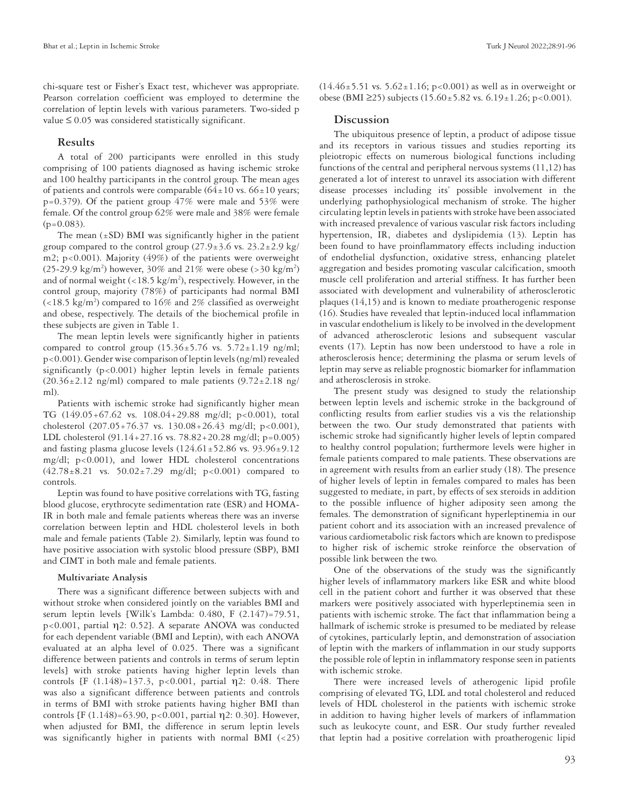chi-square test or Fisher's Exact test, whichever was appropriate. Pearson correlation coefficient was employed to determine the correlation of leptin levels with various parameters. Two-sided p value  $\leq 0.05$  was considered statistically significant.

## **Results**

A total of 200 participants were enrolled in this study comprising of 100 patients diagnosed as having ischemic stroke and 100 healthy participants in the control group. The mean ages of patients and controls were comparable  $(64±10 \text{ vs. } 66±10 \text{ years})$  $p=0.379$ ). Of the patient group  $47\%$  were male and 53% were female. Of the control group 62% were male and 38% were female  $(p=0.083)$ .

The mean  $(\pm SD)$  BMI was significantly higher in the patient group compared to the control group  $(27.9\pm3.6 \text{ vs. } 23.2\pm2.9 \text{ kg})$ m2; p<0.001). Majority (49%) of the patients were overweight (25-29.9 kg/m<sup>2</sup>) however, 30% and 21% were obese (>30 kg/m<sup>2</sup>) and of normal weight  $\left($  < 18.5 kg/m<sup>2</sup>), respectively. However, in the control group, majority (78%) of participants had normal BMI  $\left($  <18.5 kg/m<sup>2</sup>) compared to 16% and 2% classified as overweight and obese, respectively. The details of the biochemical profile in these subjects are given in Table 1.

The mean leptin levels were significantly higher in patients compared to control group  $(15.36 \pm 5.76 \text{ vs. } 5.72 \pm 1.19 \text{ ng/ml};$ p<0.001). Gender wise comparison of leptin levels (ng/ml) revealed significantly  $(p<0.001)$  higher leptin levels in female patients  $(20.36\pm2.12 \text{ ng/ml})$  compared to male patients  $(9.72\pm2.18 \text{ ng/m})$ ml).

Patients with ischemic stroke had significantly higher mean TG (149.05+67.62 vs. 108.04+29.88 mg/dl; p<0.001), total cholesterol (207.05+76.37 vs. 130.08+26.43 mg/dl; p<0.001), LDL cholesterol (91.14+27.16 vs. 78.82+20.28 mg/dl; p=0.005) and fasting plasma glucose levels  $(124.61 \pm 52.86 \text{ vs. } 93.96 \pm 9.12$ mg/dl; p<0.001), and lower HDL cholesterol concentrations  $(42.78 \pm 8.21$  vs.  $50.02 \pm 7.29$  mg/dl; p<0.001) compared to controls.

Leptin was found to have positive correlations with TG, fasting blood glucose, erythrocyte sedimentation rate (ESR) and HOMA-IR in both male and female patients whereas there was an inverse correlation between leptin and HDL cholesterol levels in both male and female patients (Table 2). Similarly, leptin was found to have positive association with systolic blood pressure (SBP), BMI and CIMT in both male and female patients.

#### **Multivariate Analysis**

There was a significant difference between subjects with and without stroke when considered jointly on the variables BMI and serum leptin levels [Wilk's Lambda: 0.480, F (2.147)=79.51, p<0.001, partial η2: 0.52]. A separate ANOVA was conducted for each dependent variable (BMI and Leptin), with each ANOVA evaluated at an alpha level of 0.025. There was a significant difference between patients and controls in terms of serum leptin levels] with stroke patients having higher leptin levels than controls [F  $(1.148)=137.3$ ,  $p<0.001$ , partial  $\eta$ 2: 0.48. There was also a significant difference between patients and controls in terms of BMI with stroke patients having higher BMI than controls [F (1.148)=63.90, p<0.001, partial η2: 0.30]. However, when adjusted for BMI, the difference in serum leptin levels was significantly higher in patients with normal BMI (<25)  $(14.46 \pm 5.51 \text{ vs. } 5.62 \pm 1.16; \text{ p} < 0.001)$  as well as in overweight or obese (BMI ≥25) subjects (15.60±5.82 vs. 6.19±1.26; p<0.001).

## **Discussion**

The ubiquitous presence of leptin, a product of adipose tissue and its receptors in various tissues and studies reporting its pleiotropic effects on numerous biological functions including functions of the central and peripheral nervous systems (11,12) has generated a lot of interest to unravel its association with different disease processes including its' possible involvement in the underlying pathophysiological mechanism of stroke. The higher circulating leptin levels in patients with stroke have been associated with increased prevalence of various vascular risk factors including hypertension, IR, diabetes and dyslipidemia (13). Leptin has been found to have proinflammatory effects including induction of endothelial dysfunction, oxidative stress, enhancing platelet aggregation and besides promoting vascular calcification, smooth muscle cell proliferation and arterial stiffness. It has further been associated with development and vulnerability of atherosclerotic plaques (14,15) and is known to mediate proatherogenic response (16). Studies have revealed that leptin-induced local inflammation in vascular endothelium is likely to be involved in the development of advanced atherosclerotic lesions and subsequent vascular events (17). Leptin has now been understood to have a role in atherosclerosis hence; determining the plasma or serum levels of leptin may serve as reliable prognostic biomarker for inflammation and atherosclerosis in stroke.

The present study was designed to study the relationship between leptin levels and ischemic stroke in the background of conflicting results from earlier studies vis a vis the relationship between the two. Our study demonstrated that patients with ischemic stroke had significantly higher levels of leptin compared to healthy control population; furthermore levels were higher in female patients compared to male patients. These observations are in agreement with results from an earlier study (18). The presence of higher levels of leptin in females compared to males has been suggested to mediate, in part, by effects of sex steroids in addition to the possible influence of higher adiposity seen among the females. The demonstration of significant hyperleptinemia in our patient cohort and its association with an increased prevalence of various cardiometabolic risk factors which are known to predispose to higher risk of ischemic stroke reinforce the observation of possible link between the two.

One of the observations of the study was the significantly higher levels of inflammatory markers like ESR and white blood cell in the patient cohort and further it was observed that these markers were positively associated with hyperleptinemia seen in patients with ischemic stroke. The fact that inflammation being a hallmark of ischemic stroke is presumed to be mediated by release of cytokines, particularly leptin, and demonstration of association of leptin with the markers of inflammation in our study supports the possible role of leptin in inflammatory response seen in patients with ischemic stroke.

There were increased levels of atherogenic lipid profile comprising of elevated TG, LDL and total cholesterol and reduced levels of HDL cholesterol in the patients with ischemic stroke in addition to having higher levels of markers of inflammation such as leukocyte count, and ESR. Our study further revealed that leptin had a positive correlation with proatherogenic lipid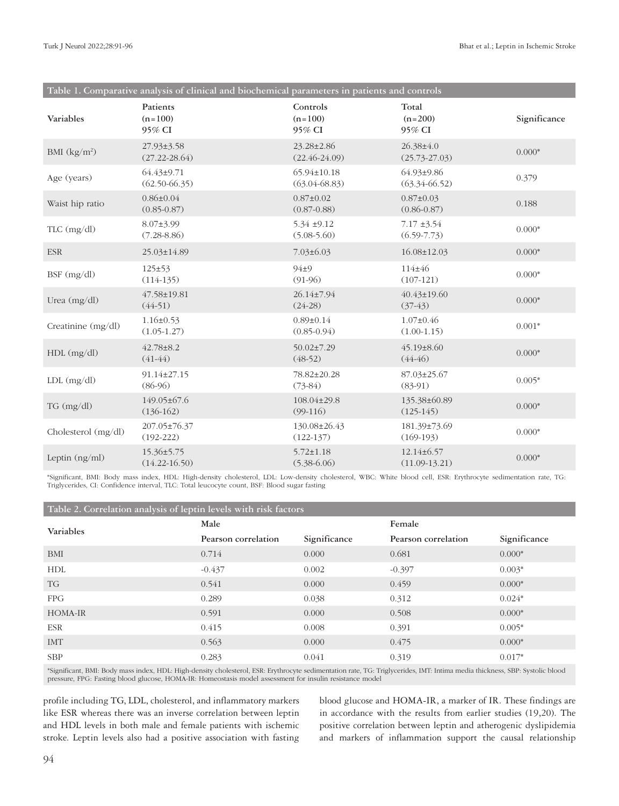| Table 1. Comparative analysis of clinical and biochemical parameters in patients and controls |                                       |                                        |                                       |              |  |  |  |
|-----------------------------------------------------------------------------------------------|---------------------------------------|----------------------------------------|---------------------------------------|--------------|--|--|--|
| Variables                                                                                     | Patients<br>$(n=100)$<br>95% CI       | Controls<br>$(n=100)$<br>95% CI        | Total<br>$(n=200)$<br>95% CI          | Significance |  |  |  |
| BMI $(kg/m^2)$                                                                                | 27.93±3.58<br>$(27.22 - 28.64)$       | 23.28±2.86<br>$(22.46 - 24.09)$        | 26.38±4.0<br>$(25.73 - 27.03)$        | $0.000*$     |  |  |  |
| Age (years)                                                                                   | $64.43 \pm 9.71$<br>$(62.50 - 66.35)$ | $65.94 \pm 10.18$<br>$(63.04 - 68.83)$ | $64.93 \pm 9.86$<br>$(63.34 - 66.52)$ | 0.379        |  |  |  |
| Waist hip ratio                                                                               | $0.86 \pm 0.04$<br>$(0.85 - 0.87)$    | $0.87 \pm 0.02$<br>$(0.87 - 0.88)$     | $0.87 \pm 0.03$<br>$(0.86 - 0.87)$    | 0.188        |  |  |  |
| $TLC$ (mg/dl)                                                                                 | $8.07 \pm 3.99$<br>$(7.28 - 8.86)$    | $5.34 \pm 9.12$<br>$(5.08 - 5.60)$     | $7.17 \pm 3.54$<br>$(6.59 - 7.73)$    | $0.000*$     |  |  |  |
| <b>ESR</b>                                                                                    | 25.03±14.89                           | $7.03 \pm 6.03$                        | $16.08 \pm 12.03$                     | $0.000*$     |  |  |  |
| $BSF$ (mg/dl)                                                                                 | $125 \pm 53$<br>$(114-135)$           | $94 + 9$<br>$(91-96)$                  | $114 + 46$<br>$(107-121)$             | $0.000*$     |  |  |  |
| Urea $(mg/dl)$                                                                                | 47.58±19.81<br>$(44-51)$              | 26.14±7.94<br>$(24-28)$                | $40.43 \pm 19.60$<br>$(37-43)$        | $0.000*$     |  |  |  |
| Creatinine (mg/dl)                                                                            | $1.16 \pm 0.53$<br>$(1.05-1.27)$      | $0.89 \pm 0.14$<br>$(0.85 - 0.94)$     | $1.07 \pm 0.46$<br>$(1.00-1.15)$      | $0.001*$     |  |  |  |
| $HDL$ (mg/dl)                                                                                 | $42.78 \pm 8.2$<br>$(41-44)$          | $50.02 \pm 7.29$<br>$(48-52)$          | $45.19 \pm 8.60$<br>$(44-46)$         | $0.000*$     |  |  |  |
| $LDL$ (mg/dl)                                                                                 | 91.14±27.15<br>$(86-96)$              | 78.82±20.28<br>$(73-84)$               | $87.03 \pm 25.67$<br>$(83-91)$        | $0.005*$     |  |  |  |
| $TG \, (mg/dl)$                                                                               | 149.05±67.6<br>$(136-162)$            | 108.04±29.8<br>$(99-116)$              | 135.38±60.89<br>$(125-145)$           | $0.000*$     |  |  |  |
| Cholesterol (mg/dl)                                                                           | 207.05±76.37<br>$(192 - 222)$         | 130.08±26.43<br>$(122-137)$            | 181.39±73.69<br>$(169-193)$           | $0.000*$     |  |  |  |
| Leptin $(ng/ml)$                                                                              | $15.36 \pm 5.75$<br>$(14.22 - 16.50)$ | $5.72 \pm 1.18$<br>$(5.38 - 6.06)$     | 12.14±6.57<br>$(11.09-13.21)$         | $0.000*$     |  |  |  |

\*Significant, BMI: Body mass index, HDL: High-density cholesterol, LDL: Low-density cholesterol, WBC: White blood cell, ESR: Erythrocyte sedimentation rate, TG: Triglycerides, CI: Confidence interval, TLC: Total leucocyte count, BSF: Blood sugar fasting

| Table 2. Correlation analysis of leptin levels with risk factors |                     |              |                     |              |  |  |  |
|------------------------------------------------------------------|---------------------|--------------|---------------------|--------------|--|--|--|
| Variables                                                        | Male                |              | Female              |              |  |  |  |
|                                                                  | Pearson correlation | Significance | Pearson correlation | Significance |  |  |  |
| BMI                                                              | 0.714               | 0.000        | 0.681               | $0.000*$     |  |  |  |
| HDL                                                              | $-0.437$            | 0.002        | $-0.397$            | $0.003*$     |  |  |  |
| <b>TG</b>                                                        | 0.541               | 0.000        | 0.459               | $0.000*$     |  |  |  |
| FPG                                                              | 0.289               | 0.038        | 0.312               | $0.024*$     |  |  |  |
| <b>HOMA-IR</b>                                                   | 0.591               | 0.000        | 0.508               | $0.000*$     |  |  |  |
| ESR                                                              | 0.415               | 0.008        | 0.391               | $0.005*$     |  |  |  |
| <b>IMT</b>                                                       | 0.563               | 0.000        | 0.475               | $0.000*$     |  |  |  |
| <b>SBP</b>                                                       | 0.283               | 0.041        | 0.319               | $0.017*$     |  |  |  |

\*Significant, BMI: Body mass index, HDL: High-density cholesterol, ESR: Erythrocyte sedimentation rate, TG: Triglycerides, IMT: Intima media thickness, SBP: Systolic blood pressure, FPG: Fasting blood glucose, HOMA-IR: Homeostasis model assessment for insulin resistance model

profile including TG, LDL, cholesterol, and inflammatory markers like ESR whereas there was an inverse correlation between leptin and HDL levels in both male and female patients with ischemic stroke. Leptin levels also had a positive association with fasting blood glucose and HOMA-IR, a marker of IR. These findings are in accordance with the results from earlier studies (19,20). The positive correlation between leptin and atherogenic dyslipidemia and markers of inflammation support the causal relationship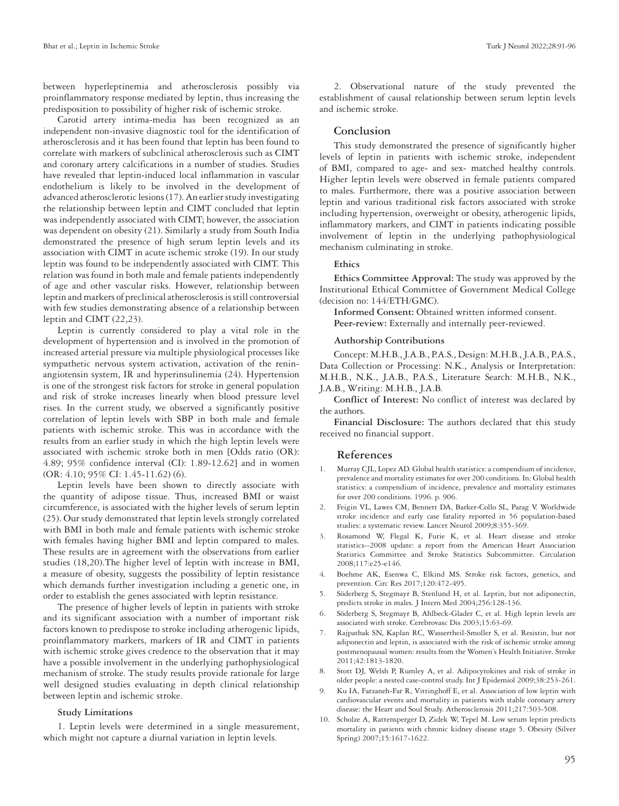between hyperleptinemia and atherosclerosis possibly via proinflammatory response mediated by leptin, thus increasing the predisposition to possibility of higher risk of ischemic stroke.

Carotid artery intima-media has been recognized as an independent non-invasive diagnostic tool for the identification of atherosclerosis and it has been found that leptin has been found to correlate with markers of subclinical atherosclerosis such as CIMT and coronary artery calcifications in a number of studies. Studies have revealed that leptin-induced local inflammation in vascular endothelium is likely to be involved in the development of advanced atherosclerotic lesions (17). An earlier study investigating the relationship between leptin and CIMT concluded that leptin was independently associated with CIMT; however, the association was dependent on obesity (21). Similarly a study from South India demonstrated the presence of high serum leptin levels and its association with CIMT in acute ischemic stroke (19). In our study leptin was found to be independently associated with CIMT. This relation was found in both male and female patients independently of age and other vascular risks. However, relationship between leptin and markers of preclinical atherosclerosis is still controversial with few studies demonstrating absence of a relationship between leptin and CIMT (22,23).

Leptin is currently considered to play a vital role in the development of hypertension and is involved in the promotion of increased arterial pressure via multiple physiological processes like sympathetic nervous system activation, activation of the reninangiotensin system, IR and hyperinsulinemia (24). Hypertension is one of the strongest risk factors for stroke in general population and risk of stroke increases linearly when blood pressure level rises. In the current study, we observed a significantly positive correlation of leptin levels with SBP in both male and female patients with ischemic stroke. This was in accordance with the results from an earlier study in which the high leptin levels were associated with ischemic stroke both in men [Odds ratio (OR): 4.89; 95% confidence interval (CI): 1.89-12.62] and in women (OR: 4.10; 95% CI: 1.45-11.62) (6).

Leptin levels have been shown to directly associate with the quantity of adipose tissue. Thus, increased BMI or waist circumference, is associated with the higher levels of serum leptin (25). Our study demonstrated that leptin levels strongly correlated with BMI in both male and female patients with ischemic stroke with females having higher BMI and leptin compared to males. These results are in agreement with the observations from earlier studies (18,20).The higher level of leptin with increase in BMI, a measure of obesity, suggests the possibility of leptin resistance which demands further investigation including a genetic one, in order to establish the genes associated with leptin resistance.

The presence of higher levels of leptin in patients with stroke and its significant association with a number of important risk factors known to predispose to stroke including atherogenic lipids, proinflammatory markers, markers of IR and CIMT in patients with ischemic stroke gives credence to the observation that it may have a possible involvement in the underlying pathophysiological mechanism of stroke. The study results provide rationale for large well designed studies evaluating in depth clinical relationship between leptin and ischemic stroke.

#### **Study Limitations**

1. Leptin levels were determined in a single measurement, which might not capture a diurnal variation in leptin levels.

2. Observational nature of the study prevented the establishment of causal relationship between serum leptin levels and ischemic stroke.

## **Conclusion**

This study demonstrated the presence of significantly higher levels of leptin in patients with ischemic stroke, independent of BMI, compared to age- and sex- matched healthy controls. Higher leptin levels were observed in female patients compared to males. Furthermore, there was a positive association between leptin and various traditional risk factors associated with stroke including hypertension, overweight or obesity, atherogenic lipids, inflammatory markers, and CIMT in patients indicating possible involvement of leptin in the underlying pathophysiological mechanism culminating in stroke.

### **Ethics**

**Ethics Committee Approval:** The study was approved by the Institutional Ethical Committee of Government Medical College (decision no: 144/ETH/GMC).

**Informed Consent:** Obtained written informed consent. Peer-review: Externally and internally peer-reviewed.

#### **Authorship Contributions**

Concept: M.H.B., J.A.B., P.A.S., Design: M.H.B., J.A.B., P.A.S., Data Collection or Processing: N.K., Analysis or Interpretation: M.H.B., N.K., J.A.B., P.A.S., Literature Search: M.H.B., N.K., J.A.B., Writing: M.H.B., J.A.B.

**Conflict of Interest:** No conflict of interest was declared by the authors.

**Financial Disclosure:** The authors declared that this study received no financial support.

#### **References**

- 1. Murray CJL, Lopez AD. Global health statistics: a compendium of incidence, prevalence and mortality estimates for over 200 conditions. In: Global health statistics: a compendium of incidence, prevalence and mortality estimates for over 200 conditions. 1996. p. 906.
- 2. Feigin VL, Lawes CM, Bennett DA, Barker-Collo SL, Parag V. Worldwide stroke incidence and early case fatality reported in 56 population-based studies: a systematic review. Lancet Neurol 2009;8:355-369.
- 3. Rosamond W, Flegal K, Furie K, et al. Heart disease and stroke statistics--2008 update: a report from the American Heart Association Statistics Committee and Stroke Statistics Subcommittee. Circulation 2008;117:e25-e146.
- 4. Boehme AK, Esenwa C, Elkind MS. Stroke risk factors, genetics, and prevention. Circ Res 2017;120:472-495.
- 5. Söderberg S, Stegmayr B, Stenlund H, et al. Leptin, but not adiponectin, predicts stroke in males. J Intern Med 2004;256:128-136.
- 6. Söderberg S, Stegmayr B, Ahlbeck-Glader C, et al. High leptin levels are associated with stroke. Cerebrovasc Dis 2003;15:63-69.
- 7. Rajpathak SN, Kaplan RC, Wassertheil-Smoller S, et al. Resistin, but not adiponectin and leptin, is associated with the risk of ischemic stroke among postmenopausal women: results from the Women's Health Initiative. Stroke 2011;42:1813-1820.
- Stott DJ, Welsh P, Rumley A, et al. Adipocytokines and risk of stroke in older people: a nested case-control study. Int J Epidemiol 2009;38:253-261.
- 9. Ku IA, Farzaneh-Far R, Vittinghoff E, et al. Association of low leptin with cardiovascular events and mortality in patients with stable coronary artery disease: the Heart and Soul Study. Atherosclerosis 2011;217:503-508.
- Scholze A, Rattensperger D, Zidek W, Tepel M. Low serum leptin predicts mortality in patients with chronic kidney disease stage 5. Obesity (Silver Spring) 2007;15:1617-1622.